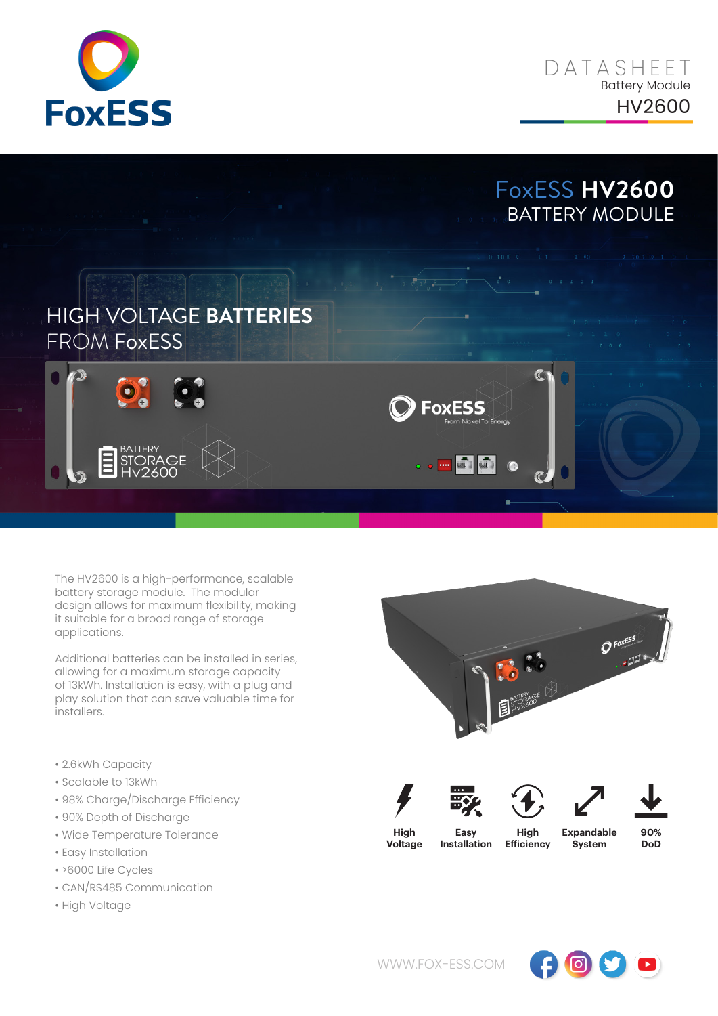



## HIGH VOLTAGE **BATTERIES** FROM FoxESS



The HV2600 is a high-performance, scalable battery storage module. The modular design allows for maximum flexibility, making it suitable for a broad range of storage applications.

Additional batteries can be installed in series, allowing for a maximum storage capacity of 13kWh. Installation is easy, with a plug and play solution that can save valuable time for installers.

- 2.6kWh Capacity
- Scalable to 13kWh
- 98% Charge/Discharge Efficiency
- 90% Depth of Discharge
- Wide Temperature Tolerance
- Easy Installation
- >6000 Life Cycles
- CAN/RS485 Communication
- High Voltage



**FoxESS** 

 $\left|\frac{1}{\sin\theta}\right|$  $\sqrt{2}$ 

 $\bullet$